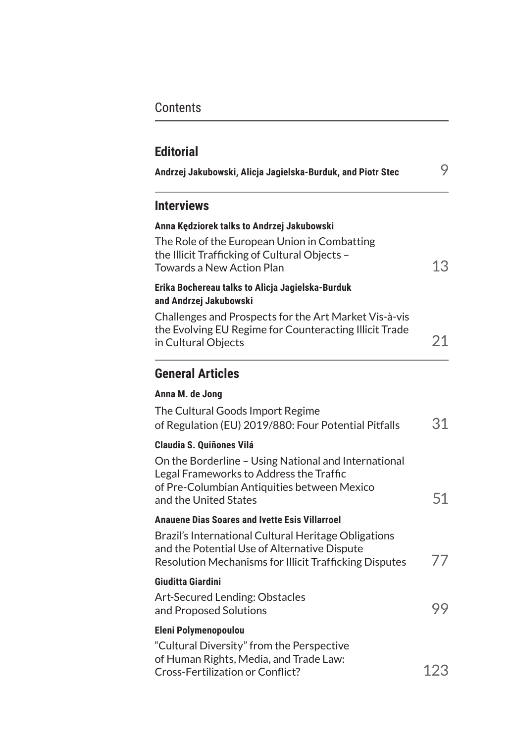# **Contents**

| Andrzej Jakubowski, Alicja Jagielska-Burduk, and Piotr Stec                                                                                                                                                | 9   |
|------------------------------------------------------------------------------------------------------------------------------------------------------------------------------------------------------------|-----|
| <b>Interviews</b>                                                                                                                                                                                          |     |
| Anna Kędziorek talks to Andrzej Jakubowski<br>The Role of the European Union in Combatting<br>the Illicit Trafficking of Cultural Objects -<br><b>Towards a New Action Plan</b>                            | 13  |
| Erika Bochereau talks to Alicja Jagielska-Burduk<br>and Andrzej Jakubowski                                                                                                                                 |     |
| Challenges and Prospects for the Art Market Vis-à-vis<br>the Evolving EU Regime for Counteracting Illicit Trade<br>in Cultural Objects                                                                     | 21  |
| <b>General Articles</b>                                                                                                                                                                                    |     |
| Anna M. de Jong                                                                                                                                                                                            |     |
| The Cultural Goods Import Regime<br>of Regulation (EU) 2019/880: Four Potential Pitfalls                                                                                                                   | 31  |
| <b>Claudia S. Quiñones Vilá</b><br>On the Borderline - Using National and International<br>Legal Frameworks to Address the Traffic<br>of Pre-Columbian Antiquities between Mexico<br>and the United States | 51  |
| <b>Anauene Dias Soares and Ivette Esis Villarroel</b>                                                                                                                                                      |     |
| Brazil's International Cultural Heritage Obligations<br>and the Potential Use of Alternative Dispute<br>Resolution Mechanisms for Illicit Trafficking Disputes                                             | 77  |
| Giuditta Giardini                                                                                                                                                                                          |     |
| Art-Secured Lending: Obstacles<br>and Proposed Solutions                                                                                                                                                   | 99  |
| <b>Eleni Polymenopoulou</b>                                                                                                                                                                                |     |
| "Cultural Diversity" from the Perspective<br>of Human Rights, Media, and Trade Law:<br>Cross-Fertilization or Conflict?                                                                                    | 123 |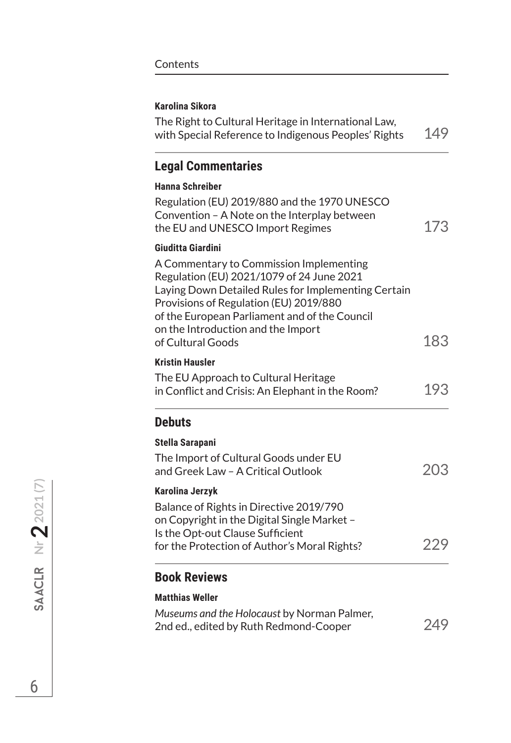#### **Karolina Sikora**

The Right to Cultural Heritage in International Law, with Special Reference to Indigenous Peoples' Rights 149

### **Legal Commentaries**

# **Hanna Schreiber**

| Regulation (EU) 2019/880 and the 1970 UNESCO<br>Convention - A Note on the Interplay between<br>the EU and UNESCO Import Regimes                                                                                                                                                                  | 173 |
|---------------------------------------------------------------------------------------------------------------------------------------------------------------------------------------------------------------------------------------------------------------------------------------------------|-----|
| Giuditta Giardini                                                                                                                                                                                                                                                                                 |     |
| A Commentary to Commission Implementing<br>Regulation (EU) 2021/1079 of 24 June 2021<br>Laying Down Detailed Rules for Implementing Certain<br>Provisions of Regulation (EU) 2019/880<br>of the European Parliament and of the Council<br>on the Introduction and the Import<br>of Cultural Goods | 183 |
| <b>Kristin Hausler</b>                                                                                                                                                                                                                                                                            |     |
| The EU Approach to Cultural Heritage<br>in Conflict and Crisis: An Elephant in the Room?                                                                                                                                                                                                          | 193 |
| <b>Debuts</b>                                                                                                                                                                                                                                                                                     |     |
| Stella Sarapani                                                                                                                                                                                                                                                                                   |     |
| The Import of Cultural Goods under EU<br>and Greek Law - A Critical Outlook                                                                                                                                                                                                                       | 203 |
| <b>Karolina Jerzyk</b>                                                                                                                                                                                                                                                                            |     |
| Balance of Rights in Directive 2019/790<br>on Copyright in the Digital Single Market -<br>Is the Opt-out Clause Sufficient                                                                                                                                                                        |     |
| for the Protection of Author's Moral Rights?                                                                                                                                                                                                                                                      | 229 |
| <b>Book Reviews</b>                                                                                                                                                                                                                                                                               |     |
| <b>Matthias Weller</b>                                                                                                                                                                                                                                                                            |     |
| Museums and the Holocaust by Norman Palmer,<br>2nd ed., edited by Ruth Redmond-Cooper                                                                                                                                                                                                             | 249 |

**6** SAACLR Nr **SAACLR** Nr **2** 2021 (7)